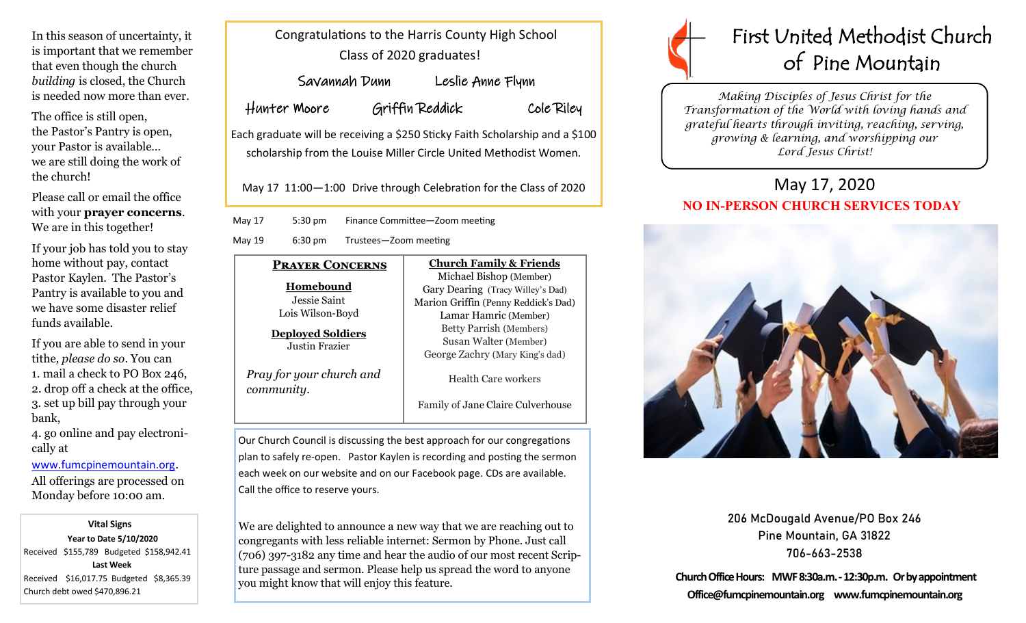In this season of uncertainty, it is important that we remember that even though the church *building* is closed, the Church is needed now more than ever.

The office is still open, the Pastor's Pantry is open, your Pastor is available… we are still doing the work of the church!

Please call or email the office with your **prayer concerns**. We are in this together!

If your job has told you to stay home without pay, contact Pastor Kaylen. The Pastor's Pantry is available to you and we have some disaster relief funds available.

If you are able to send in your tithe*, please do so*. You can 1. mail a check to PO Box 246, 2. drop off a check at the office, 3. set up bill pay through your bank,

4. go online and pay electronically at

[www.fumcpinemountain.org](http://www.fumcpinemountain.org).

All offerings are processed on Monday before 10:00 am.

 **Vital Signs Year to Date 5/10/2020**  Received \$155,789 Budgeted \$158,942.41 **Last Week**  Received \$16,017.75 Budgeted \$8,365.39 Church debt owed \$470,896.21

| Congratulations to the Harris County High School |
|--------------------------------------------------|
| Class of 2020 graduates!                         |

| Savannah Dunn | Leslie Anne Flynn |            |
|---------------|-------------------|------------|
| Hunter Moore  | Griffin Reddick   | Cole Riley |

Each graduate will be receiving a \$250 Sticky Faith Scholarship and a \$100 scholarship from the Louise Miller Circle United Methodist Women.

May 17 11:00—1:00 Drive through Celebration for the Class of 2020

May 17 5:30 pm Finance Committee—Zoom meeting

May 19 6:30 pm Trustees—Zoom meeting



Lois Wilson-Boyd

**Deployed Soldiers** Justin Frazier

*Pray for your church and* 

*community*.

Michael Bishop (Member) Gary Dearing (Tracy Willey's Dad) Marion Griffin (Penny Reddick's Dad) Lamar Hamric (Member) Betty Parrish (Members) Susan Walter (Member) George Zachry (Mary King's dad)

**Church Family & Friends**

Health Care workers

Family of Jane Claire Culverhouse

Our Church Council is discussing the best approach for our congregations plan to safely re-open. Pastor Kaylen is recording and posting the sermon each week on our website and on our Facebook page. CDs are available. Call the office to reserve yours.

We are delighted to announce a new way that we are reaching out to congregants with less reliable internet: Sermon by Phone. Just call (706) 397-3182 any time and hear the audio of our most recent Scripture passage and sermon. Please help us spread the word to anyone you might know that will enjoy this feature.



*Making Disciples of Jesus Christ for the Transformation of the World with loving hands and grateful hearts through inviting, reaching, serving, growing & learning, and worshipping our Lord Jesus Christ!* 

## May 17, 2020 **NO IN-PERSON CHURCH SERVICES TODAY**



206 McDougald Avenue/PO Box 246 Pine Mountain, GA 31822 706-663-2538

**Church Office Hours: MWF 8:30a.m. -12:30p.m. Or by appointment Office@fumcpinemountain.org www.fumcpinemountain.org**